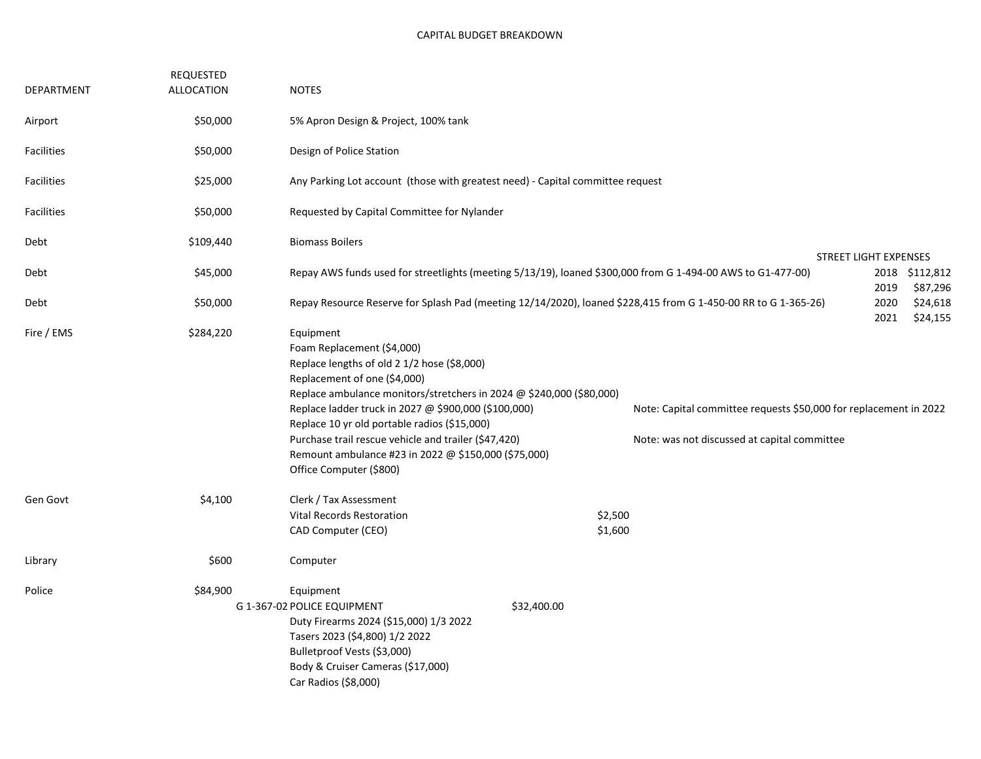| DEPARTMENT        | REQUESTED<br><b>ALLOCATION</b> | <b>NOTES</b>                                                                                                                                                                                                                                                                                                                                                                                                                                      |                                                                                                                |                                                                                                                   |                                  |  |  |  |  |  |
|-------------------|--------------------------------|---------------------------------------------------------------------------------------------------------------------------------------------------------------------------------------------------------------------------------------------------------------------------------------------------------------------------------------------------------------------------------------------------------------------------------------------------|----------------------------------------------------------------------------------------------------------------|-------------------------------------------------------------------------------------------------------------------|----------------------------------|--|--|--|--|--|
| Airport           | \$50,000                       | 5% Apron Design & Project, 100% tank                                                                                                                                                                                                                                                                                                                                                                                                              |                                                                                                                |                                                                                                                   |                                  |  |  |  |  |  |
| Facilities        | \$50,000                       | Design of Police Station                                                                                                                                                                                                                                                                                                                                                                                                                          |                                                                                                                |                                                                                                                   |                                  |  |  |  |  |  |
| Facilities        | \$25,000                       | Any Parking Lot account (those with greatest need) - Capital committee request                                                                                                                                                                                                                                                                                                                                                                    |                                                                                                                |                                                                                                                   |                                  |  |  |  |  |  |
| <b>Facilities</b> | \$50,000                       | Requested by Capital Committee for Nylander                                                                                                                                                                                                                                                                                                                                                                                                       |                                                                                                                |                                                                                                                   |                                  |  |  |  |  |  |
| Debt              | \$109,440                      | <b>Biomass Boilers</b>                                                                                                                                                                                                                                                                                                                                                                                                                            |                                                                                                                |                                                                                                                   |                                  |  |  |  |  |  |
| Debt              | \$45,000                       | <b>STREET LIGHT EXPENSES</b><br>Repay AWS funds used for streetlights (meeting 5/13/19), loaned \$300,000 from G 1-494-00 AWS to G1-477-00)<br>2018<br>\$112,812<br>2019                                                                                                                                                                                                                                                                          |                                                                                                                |                                                                                                                   |                                  |  |  |  |  |  |
| Debt              | \$50,000                       |                                                                                                                                                                                                                                                                                                                                                                                                                                                   | Repay Resource Reserve for Splash Pad (meeting 12/14/2020), loaned \$228,415 from G 1-450-00 RR to G 1-365-26) | 2020<br>2021                                                                                                      | \$87,296<br>\$24,618<br>\$24,155 |  |  |  |  |  |
| Fire / EMS        | \$284,220                      | Equipment<br>Foam Replacement (\$4,000)<br>Replace lengths of old 2 1/2 hose (\$8,000)<br>Replacement of one (\$4,000)<br>Replace ambulance monitors/stretchers in 2024 @ \$240,000 (\$80,000)<br>Replace ladder truck in 2027 @ \$900,000 (\$100,000)<br>Replace 10 yr old portable radios (\$15,000)<br>Purchase trail rescue vehicle and trailer (\$47,420)<br>Remount ambulance #23 in 2022 @ \$150,000 (\$75,000)<br>Office Computer (\$800) |                                                                                                                | Note: Capital committee requests \$50,000 for replacement in 2022<br>Note: was not discussed at capital committee |                                  |  |  |  |  |  |
| Gen Govt          | \$4,100                        | Clerk / Tax Assessment<br><b>Vital Records Restoration</b><br>CAD Computer (CEO)                                                                                                                                                                                                                                                                                                                                                                  |                                                                                                                | \$2,500<br>\$1,600                                                                                                |                                  |  |  |  |  |  |
| Library           | \$600                          | Computer                                                                                                                                                                                                                                                                                                                                                                                                                                          |                                                                                                                |                                                                                                                   |                                  |  |  |  |  |  |
| Police            | \$84,900                       | Equipment<br>G 1-367-02 POLICE EQUIPMENT<br>Duty Firearms 2024 (\$15,000) 1/3 2022<br>Tasers 2023 (\$4,800) 1/2 2022<br>Bulletproof Vests (\$3,000)<br>Body & Cruiser Cameras (\$17,000)<br>Car Radios (\$8,000)                                                                                                                                                                                                                                  | \$32,400.00                                                                                                    |                                                                                                                   |                                  |  |  |  |  |  |